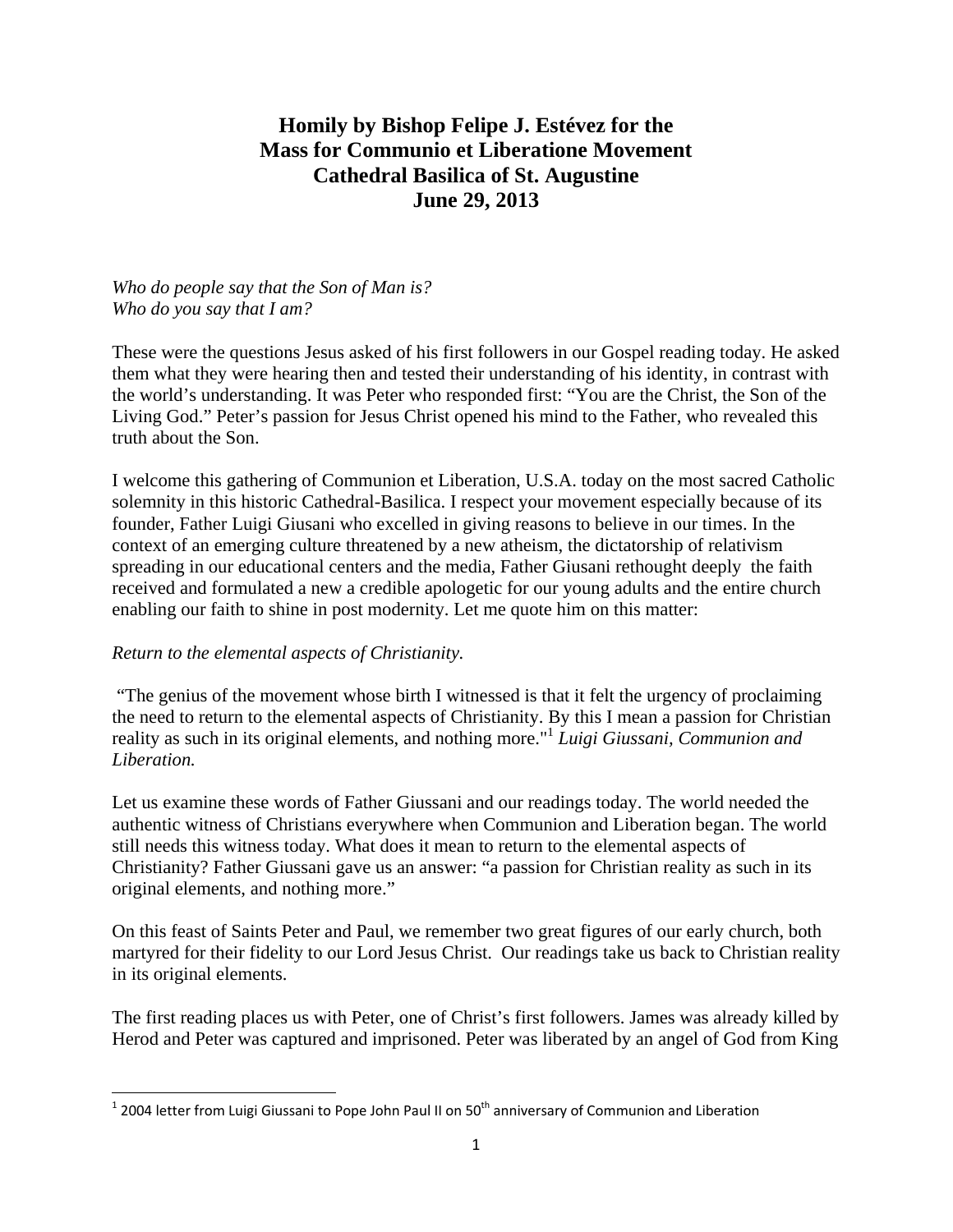## **Homily by Bishop Felipe J. Estévez for the Mass for Communio et Liberatione Movement Cathedral Basilica of St. Augustine June 29, 2013**

## *Who do people say that the Son of Man is? Who do you say that I am?*

These were the questions Jesus asked of his first followers in our Gospel reading today. He asked them what they were hearing then and tested their understanding of his identity, in contrast with the world's understanding. It was Peter who responded first: "You are the Christ, the Son of the Living God." Peter's passion for Jesus Christ opened his mind to the Father, who revealed this truth about the Son.

I welcome this gathering of Communion et Liberation, U.S.A. today on the most sacred Catholic solemnity in this historic Cathedral-Basilica. I respect your movement especially because of its founder, Father Luigi Giusani who excelled in giving reasons to believe in our times. In the context of an emerging culture threatened by a new atheism, the dictatorship of relativism spreading in our educational centers and the media, Father Giusani rethought deeply the faith received and formulated a new a credible apologetic for our young adults and the entire church enabling our faith to shine in post modernity. Let me quote him on this matter:

## *Return to the elemental aspects of Christianity.*

 "The genius of the movement whose birth I witnessed is that it felt the urgency of proclaiming the need to return to the elemental aspects of Christianity. By this I mean a passion for Christian reality as such in its original elements, and nothing more."<sup>1</sup> *Luigi Giussani, Communion and Liberation.* 

Let us examine these words of Father Giussani and our readings today. The world needed the authentic witness of Christians everywhere when Communion and Liberation began. The world still needs this witness today. What does it mean to return to the elemental aspects of Christianity? Father Giussani gave us an answer: "a passion for Christian reality as such in its original elements, and nothing more."

On this feast of Saints Peter and Paul, we remember two great figures of our early church, both martyred for their fidelity to our Lord Jesus Christ. Our readings take us back to Christian reality in its original elements.

The first reading places us with Peter, one of Christ's first followers. James was already killed by Herod and Peter was captured and imprisoned. Peter was liberated by an angel of God from King

 $\overline{\phantom{a}}$  $^1$  2004 letter from Luigi Giussani to Pope John Paul II on 50<sup>th</sup> anniversary of Communion and Liberation